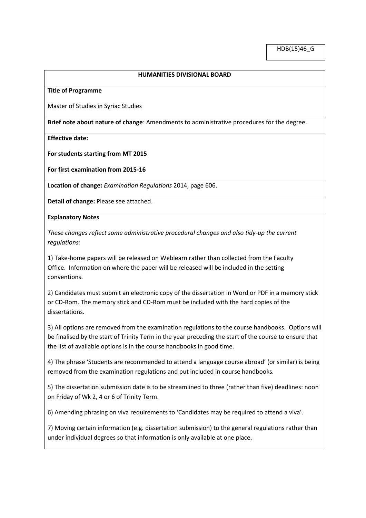## **HUMANITIES DIVISIONAL BOARD**

**Title of Programme**

Master of Studies in Syriac Studies

**Brief note about nature of change**: Amendments to administrative procedures for the degree.

**Effective date:**

**For students starting from MT 2015**

**For first examination from 2015-16** 

**Location of change:** *Examination Regulations* 2014, page 606.

**Detail of change:** Please see attached.

**Explanatory Notes**

*These changes reflect some administrative procedural changes and also tidy-up the current regulations:*

1) Take-home papers will be released on Weblearn rather than collected from the Faculty Office. Information on where the paper will be released will be included in the setting conventions.

2) Candidates must submit an electronic copy of the dissertation in Word or PDF in a memory stick or CD-Rom. The memory stick and CD-Rom must be included with the hard copies of the dissertations.

3) All options are removed from the examination regulations to the course handbooks. Options will be finalised by the start of Trinity Term in the year preceding the start of the course to ensure that the list of available options is in the course handbooks in good time.

4) The phrase 'Students are recommended to attend a language course abroad' (or similar) is being removed from the examination regulations and put included in course handbooks.

5) The dissertation submission date is to be streamlined to three (rather than five) deadlines: noon on Friday of Wk 2, 4 or 6 of Trinity Term.

6) Amending phrasing on viva requirements to 'Candidates may be required to attend a viva'.

7) Moving certain information (e.g. dissertation submission) to the general regulations rather than under individual degrees so that information is only available at one place.